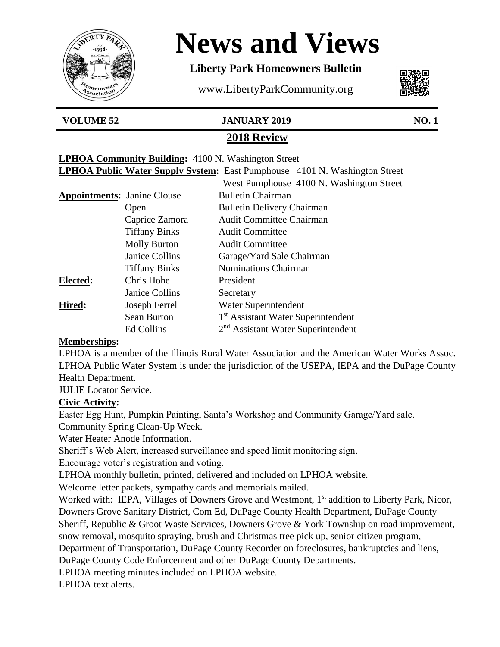

# **News and Views**

# **Liberty Park Homeowners Bulletin**

www.LibertyParkCommunity.org



#### **VOLUME 52 JANUARY 2019 NO. 1**

# **2018 Review**

| <b>LPHOA Community Building:</b> 4100 N. Washington Street                        |  |
|-----------------------------------------------------------------------------------|--|
| <b>LPHOA Public Water Supply System:</b> East Pumphouse 4101 N. Washington Street |  |

|                                    |                      | West Pumphouse 4100 N. Washington Street       |
|------------------------------------|----------------------|------------------------------------------------|
| <b>Appointments:</b> Janine Clouse |                      | <b>Bulletin Chairman</b>                       |
|                                    | Open                 | <b>Bulletin Delivery Chairman</b>              |
|                                    | Caprice Zamora       | <b>Audit Committee Chairman</b>                |
|                                    | <b>Tiffany Binks</b> | <b>Audit Committee</b>                         |
|                                    | <b>Molly Burton</b>  | <b>Audit Committee</b>                         |
|                                    | Janice Collins       | Garage/Yard Sale Chairman                      |
|                                    | <b>Tiffany Binks</b> | <b>Nominations Chairman</b>                    |
| Elected:                           | Chris Hohe           | President                                      |
|                                    | Janice Collins       | Secretary                                      |
| Hired:                             | Joseph Ferrel        | Water Superintendent                           |
|                                    | Sean Burton          | 1 <sup>st</sup> Assistant Water Superintendent |
|                                    | <b>Ed Collins</b>    | 2 <sup>nd</sup> Assistant Water Superintendent |

#### **Memberships:**

LPHOA is a member of the Illinois Rural Water Association and the American Water Works Assoc. LPHOA Public Water System is under the jurisdiction of the USEPA, IEPA and the DuPage County Health Department.

JULIE Locator Service.

#### **Civic Activity:**

Easter Egg Hunt, Pumpkin Painting, Santa's Workshop and Community Garage/Yard sale. Community Spring Clean-Up Week.

Water Heater Anode Information.

Sheriff's Web Alert, increased surveillance and speed limit monitoring sign.

Encourage voter's registration and voting.

LPHOA monthly bulletin, printed, delivered and included on LPHOA website.

Welcome letter packets, sympathy cards and memorials mailed.

Worked with: IEPA, Villages of Downers Grove and Westmont, 1<sup>st</sup> addition to Liberty Park, Nicor, Downers Grove Sanitary District, Com Ed, DuPage County Health Department, DuPage County Sheriff, Republic & Groot Waste Services, Downers Grove & York Township on road improvement, snow removal, mosquito spraying, brush and Christmas tree pick up, senior citizen program,

Department of Transportation, DuPage County Recorder on foreclosures, bankruptcies and liens,

DuPage County Code Enforcement and other DuPage County Departments.

LPHOA meeting minutes included on LPHOA website.

LPHOA text alerts.